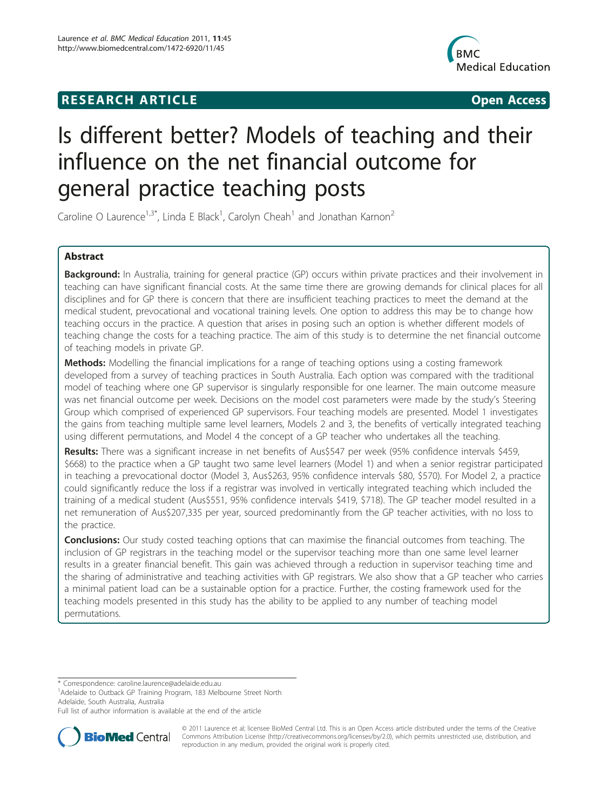# **RESEARCH ARTICLE Example 2018 12:00 Open Access**



# Is different better? Models of teaching and their influence on the net financial outcome for general practice teaching posts

Caroline O Laurence<sup>1,3\*</sup>, Linda E Black<sup>1</sup>, Carolyn Cheah<sup>1</sup> and Jonathan Karnon<sup>2</sup>

# Abstract

Background: In Australia, training for general practice (GP) occurs within private practices and their involvement in teaching can have significant financial costs. At the same time there are growing demands for clinical places for all disciplines and for GP there is concern that there are insufficient teaching practices to meet the demand at the medical student, prevocational and vocational training levels. One option to address this may be to change how teaching occurs in the practice. A question that arises in posing such an option is whether different models of teaching change the costs for a teaching practice. The aim of this study is to determine the net financial outcome of teaching models in private GP.

**Methods:** Modelling the financial implications for a range of teaching options using a costing framework developed from a survey of teaching practices in South Australia. Each option was compared with the traditional model of teaching where one GP supervisor is singularly responsible for one learner. The main outcome measure was net financial outcome per week. Decisions on the model cost parameters were made by the study's Steering Group which comprised of experienced GP supervisors. Four teaching models are presented. Model 1 investigates the gains from teaching multiple same level learners, Models 2 and 3, the benefits of vertically integrated teaching using different permutations, and Model 4 the concept of a GP teacher who undertakes all the teaching.

Results: There was a significant increase in net benefits of Aus\$547 per week (95% confidence intervals \$459, \$668) to the practice when a GP taught two same level learners (Model 1) and when a senior registrar participated in teaching a prevocational doctor (Model 3, Aus\$263, 95% confidence intervals \$80, \$570). For Model 2, a practice could significantly reduce the loss if a registrar was involved in vertically integrated teaching which included the training of a medical student (Aus\$551, 95% confidence intervals \$419, \$718). The GP teacher model resulted in a net remuneration of Aus\$207,335 per year, sourced predominantly from the GP teacher activities, with no loss to the practice.

**Conclusions:** Our study costed teaching options that can maximise the financial outcomes from teaching. The inclusion of GP registrars in the teaching model or the supervisor teaching more than one same level learner results in a greater financial benefit. This gain was achieved through a reduction in supervisor teaching time and the sharing of administrative and teaching activities with GP registrars. We also show that a GP teacher who carries a minimal patient load can be a sustainable option for a practice. Further, the costing framework used for the teaching models presented in this study has the ability to be applied to any number of teaching model permutations.

\* Correspondence: [caroline.laurence@adelaide.edu.au](mailto:caroline.laurence@adelaide.edu.au)

<sup>1</sup>Adelaide to Outback GP Training Program, 183 Melbourne Street North Adelaide, South Australia, Australia

Full list of author information is available at the end of the article



© 2011 Laurence et al; licensee BioMed Central Ltd. This is an Open Access article distributed under the terms of the Creative Commons Attribution License [\(http://creativecommons.org/licenses/by/2.0](http://creativecommons.org/licenses/by/2.0)), which permits unrestricted use, distribution, and reproduction in any medium, provided the original work is properly cited.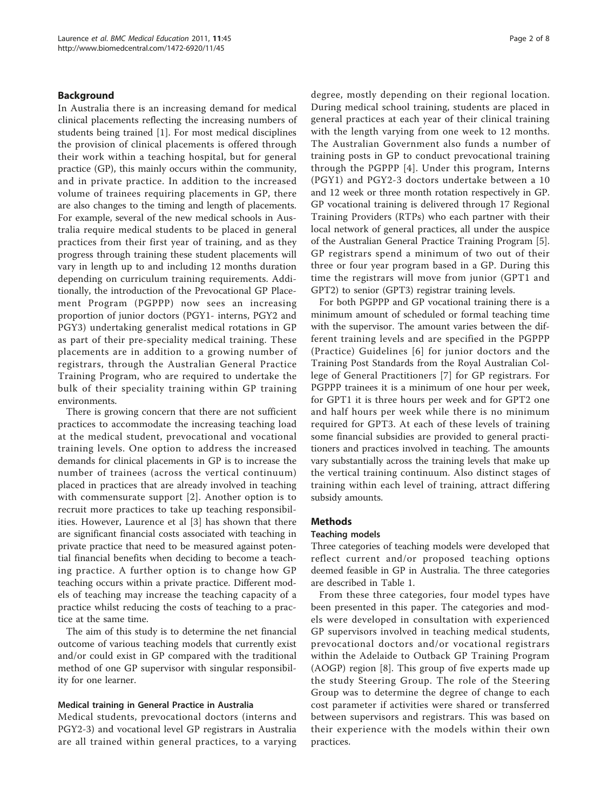## Background

In Australia there is an increasing demand for medical clinical placements reflecting the increasing numbers of students being trained [[1\]](#page-7-0). For most medical disciplines the provision of clinical placements is offered through their work within a teaching hospital, but for general practice (GP), this mainly occurs within the community, and in private practice. In addition to the increased volume of trainees requiring placements in GP, there are also changes to the timing and length of placements. For example, several of the new medical schools in Australia require medical students to be placed in general practices from their first year of training, and as they progress through training these student placements will vary in length up to and including 12 months duration depending on curriculum training requirements. Additionally, the introduction of the Prevocational GP Placement Program (PGPPP) now sees an increasing proportion of junior doctors (PGY1- interns, PGY2 and PGY3) undertaking generalist medical rotations in GP as part of their pre-speciality medical training. These placements are in addition to a growing number of registrars, through the Australian General Practice Training Program, who are required to undertake the bulk of their speciality training within GP training environments.

There is growing concern that there are not sufficient practices to accommodate the increasing teaching load at the medical student, prevocational and vocational training levels. One option to address the increased demands for clinical placements in GP is to increase the number of trainees (across the vertical continuum) placed in practices that are already involved in teaching with commensurate support [[2](#page-7-0)]. Another option is to recruit more practices to take up teaching responsibilities. However, Laurence et al [[3\]](#page-7-0) has shown that there are significant financial costs associated with teaching in private practice that need to be measured against potential financial benefits when deciding to become a teaching practice. A further option is to change how GP teaching occurs within a private practice. Different models of teaching may increase the teaching capacity of a practice whilst reducing the costs of teaching to a practice at the same time.

The aim of this study is to determine the net financial outcome of various teaching models that currently exist and/or could exist in GP compared with the traditional method of one GP supervisor with singular responsibility for one learner.

## Medical training in General Practice in Australia

Medical students, prevocational doctors (interns and PGY2-3) and vocational level GP registrars in Australia are all trained within general practices, to a varying degree, mostly depending on their regional location. During medical school training, students are placed in general practices at each year of their clinical training with the length varying from one week to 12 months. The Australian Government also funds a number of training posts in GP to conduct prevocational training through the PGPPP [[4\]](#page-7-0). Under this program, Interns (PGY1) and PGY2-3 doctors undertake between a 10 and 12 week or three month rotation respectively in GP. GP vocational training is delivered through 17 Regional Training Providers (RTPs) who each partner with their local network of general practices, all under the auspice of the Australian General Practice Training Program [\[5](#page-7-0)]. GP registrars spend a minimum of two out of their three or four year program based in a GP. During this time the registrars will move from junior (GPT1 and GPT2) to senior (GPT3) registrar training levels.

For both PGPPP and GP vocational training there is a minimum amount of scheduled or formal teaching time with the supervisor. The amount varies between the different training levels and are specified in the PGPPP (Practice) Guidelines [[6](#page-7-0)] for junior doctors and the Training Post Standards from the Royal Australian College of General Practitioners [[7\]](#page-7-0) for GP registrars. For PGPPP trainees it is a minimum of one hour per week, for GPT1 it is three hours per week and for GPT2 one and half hours per week while there is no minimum required for GPT3. At each of these levels of training some financial subsidies are provided to general practitioners and practices involved in teaching. The amounts vary substantially across the training levels that make up the vertical training continuum. Also distinct stages of training within each level of training, attract differing subsidy amounts.

# Methods

## Teaching models

Three categories of teaching models were developed that reflect current and/or proposed teaching options deemed feasible in GP in Australia. The three categories are described in Table [1](#page-2-0).

From these three categories, four model types have been presented in this paper. The categories and models were developed in consultation with experienced GP supervisors involved in teaching medical students, prevocational doctors and/or vocational registrars within the Adelaide to Outback GP Training Program (AOGP) region [\[8](#page-7-0)]. This group of five experts made up the study Steering Group. The role of the Steering Group was to determine the degree of change to each cost parameter if activities were shared or transferred between supervisors and registrars. This was based on their experience with the models within their own practices.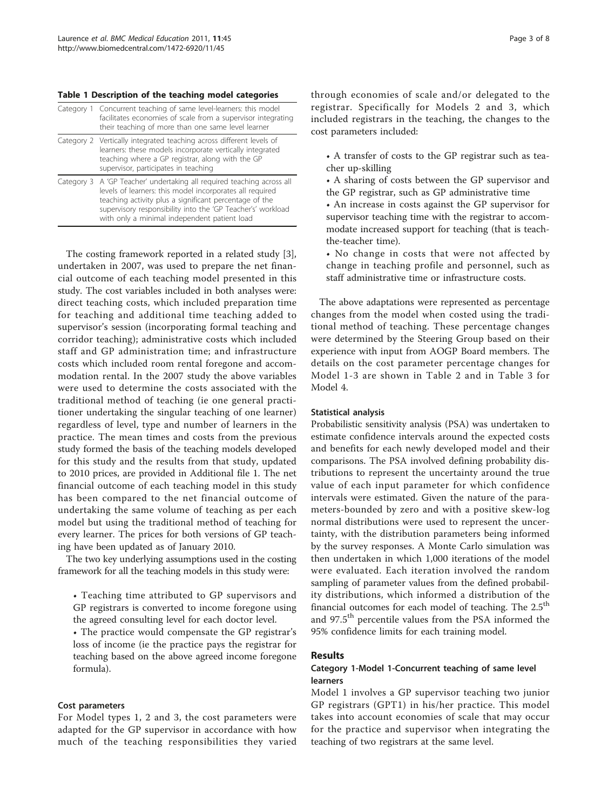<span id="page-2-0"></span>

|  |  | Table 1 Description of the teaching model categories |  |  |  |  |  |
|--|--|------------------------------------------------------|--|--|--|--|--|
|--|--|------------------------------------------------------|--|--|--|--|--|

| Category 1 Concurrent teaching of same level-learners: this model<br>facilitates economies of scale from a supervisor integrating<br>their teaching of more than one same level learner                                                                                                                     |
|-------------------------------------------------------------------------------------------------------------------------------------------------------------------------------------------------------------------------------------------------------------------------------------------------------------|
| Category 2 Vertically integrated teaching across different levels of<br>learners: these models incorporate vertically integrated<br>teaching where a GP registrar, along with the GP<br>supervisor, participates in teaching                                                                                |
| Category 3 A 'GP Teacher' undertaking all required teaching across all<br>levels of learners: this model incorporates all required<br>teaching activity plus a significant percentage of the<br>supervisory responsibility into the 'GP Teacher's' workload<br>with only a minimal independent patient load |

The costing framework reported in a related study [\[3](#page-7-0)], undertaken in 2007, was used to prepare the net financial outcome of each teaching model presented in this study. The cost variables included in both analyses were: direct teaching costs, which included preparation time for teaching and additional time teaching added to supervisor's session (incorporating formal teaching and corridor teaching); administrative costs which included staff and GP administration time; and infrastructure costs which included room rental foregone and accommodation rental. In the 2007 study the above variables were used to determine the costs associated with the traditional method of teaching (ie one general practitioner undertaking the singular teaching of one learner) regardless of level, type and number of learners in the practice. The mean times and costs from the previous study formed the basis of the teaching models developed for this study and the results from that study, updated to 2010 prices, are provided in Additional file [1.](#page-7-0) The net financial outcome of each teaching model in this study has been compared to the net financial outcome of undertaking the same volume of teaching as per each model but using the traditional method of teaching for every learner. The prices for both versions of GP teaching have been updated as of January 2010.

The two key underlying assumptions used in the costing framework for all the teaching models in this study were:

• Teaching time attributed to GP supervisors and GP registrars is converted to income foregone using the agreed consulting level for each doctor level.

• The practice would compensate the GP registrar's loss of income (ie the practice pays the registrar for teaching based on the above agreed income foregone formula).

## Cost parameters

For Model types 1, 2 and 3, the cost parameters were adapted for the GP supervisor in accordance with how much of the teaching responsibilities they varied through economies of scale and/or delegated to the registrar. Specifically for Models 2 and 3, which included registrars in the teaching, the changes to the cost parameters included:

• A transfer of costs to the GP registrar such as teacher up-skilling

• A sharing of costs between the GP supervisor and the GP registrar, such as GP administrative time

• An increase in costs against the GP supervisor for supervisor teaching time with the registrar to accommodate increased support for teaching (that is teachthe-teacher time).

• No change in costs that were not affected by change in teaching profile and personnel, such as staff administrative time or infrastructure costs.

The above adaptations were represented as percentage changes from the model when costed using the traditional method of teaching. These percentage changes were determined by the Steering Group based on their experience with input from AOGP Board members. The details on the cost parameter percentage changes for Model 1-3 are shown in Table [2](#page-3-0) and in Table [3](#page-4-0) for Model 4.

## Statistical analysis

Probabilistic sensitivity analysis (PSA) was undertaken to estimate confidence intervals around the expected costs and benefits for each newly developed model and their comparisons. The PSA involved defining probability distributions to represent the uncertainty around the true value of each input parameter for which confidence intervals were estimated. Given the nature of the parameters-bounded by zero and with a positive skew-log normal distributions were used to represent the uncertainty, with the distribution parameters being informed by the survey responses. A Monte Carlo simulation was then undertaken in which 1,000 iterations of the model were evaluated. Each iteration involved the random sampling of parameter values from the defined probability distributions, which informed a distribution of the financial outcomes for each model of teaching. The  $2.5<sup>th</sup>$ and 97.5<sup>th</sup> percentile values from the PSA informed the 95% confidence limits for each training model.

## Results

# Category 1-Model 1-Concurrent teaching of same level learners

Model 1 involves a GP supervisor teaching two junior GP registrars (GPT1) in his/her practice. This model takes into account economies of scale that may occur for the practice and supervisor when integrating the teaching of two registrars at the same level.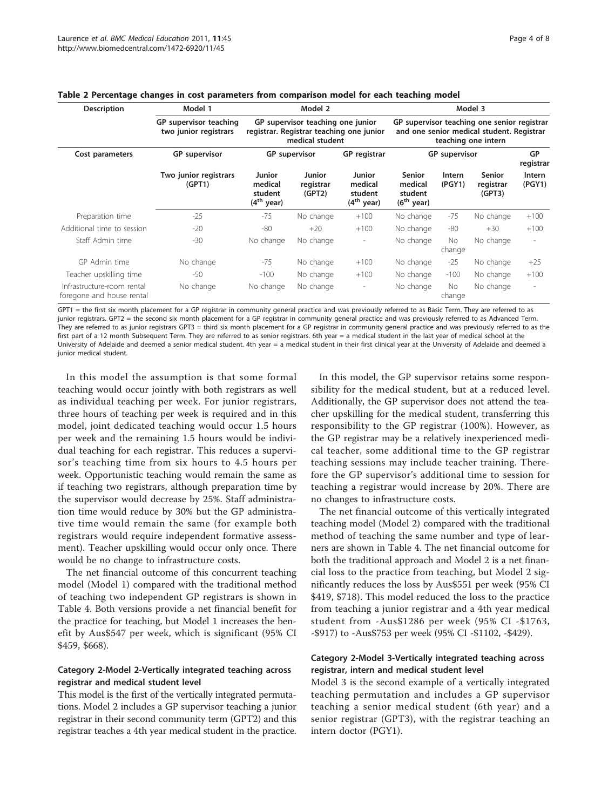| <b>Description</b>                                      | Model 1                                         |                                                     | Model 2                                              |                                                     | Model 3                                                                                                         |                     |                                      |                          |  |
|---------------------------------------------------------|-------------------------------------------------|-----------------------------------------------------|------------------------------------------------------|-----------------------------------------------------|-----------------------------------------------------------------------------------------------------------------|---------------------|--------------------------------------|--------------------------|--|
|                                                         | GP supervisor teaching<br>two junior registrars |                                                     | GP supervisor teaching one junior<br>medical student | registrar. Registrar teaching one junior            | GP supervisor teaching one senior registrar<br>and one senior medical student. Registrar<br>teaching one intern |                     |                                      |                          |  |
| Cost parameters                                         | GP supervisor                                   | <b>GP</b> supervisor                                |                                                      | GP registrar                                        | <b>GP</b> supervisor                                                                                            |                     |                                      | GP<br>registrar          |  |
|                                                         | Two junior registrars<br>(GPT1)                 | <b>Junior</b><br>medical<br>student<br>$(4th$ year) | Junior<br>registrar<br>(GPT2)                        | <b>Junior</b><br>medical<br>student<br>$(4th$ year) | <b>Senior</b><br>medical<br>student<br>$(6th$ year)                                                             | Intern<br>(PGY1)    | <b>Senior</b><br>registrar<br>(GPT3) | Intern<br>(PGY1)         |  |
| Preparation time                                        | $-25$                                           | $-75$                                               | No change                                            | $+100$                                              | No change                                                                                                       | -75                 | No change                            | $+100$                   |  |
| Additional time to session                              | $-20$                                           | -80                                                 | $+20$                                                | $+100$                                              | No change                                                                                                       | $-80$               | $+30$                                | $+100$                   |  |
| Staff Admin time                                        | $-30$                                           | No change                                           | No change                                            | $\overline{\phantom{a}}$                            | No change                                                                                                       | <b>No</b><br>change | No change                            | $\overline{\phantom{a}}$ |  |
| GP Admin time                                           | No change                                       | $-75$                                               | No change                                            | $+100$                                              | No change                                                                                                       | $-25$               | No change                            | $+25$                    |  |
| Teacher upskilling time                                 | $-50$                                           | $-100$                                              | No change                                            | $+100$                                              | No change                                                                                                       | $-100$              | No change                            | $+100$                   |  |
| Infrastructure-room rental<br>foregone and house rental | No change                                       | No change                                           | No change                                            | $\overline{\phantom{a}}$                            | No change                                                                                                       | No.<br>change       | No change                            | $\overline{\phantom{a}}$ |  |

## <span id="page-3-0"></span>Table 2 Percentage changes in cost parameters from comparison model for each teaching model

GPT1 = the first six month placement for a GP registrar in community general practice and was previously referred to as Basic Term. They are referred to as junior registrars. GPT2 = the second six month placement for a GP registrar in community general practice and was previously referred to as Advanced Term. They are referred to as junior registrars GPT3 = third six month placement for a GP registrar in community general practice and was previously referred to as the first part of a 12 month Subsequent Term. They are referred to as senior registrars. 6th year = a medical student in the last year of medical school at the University of Adelaide and deemed a senior medical student. 4th year = a medical student in their first clinical year at the University of Adelaide and deemed a junior medical student.

In this model the assumption is that some formal teaching would occur jointly with both registrars as well as individual teaching per week. For junior registrars, three hours of teaching per week is required and in this model, joint dedicated teaching would occur 1.5 hours per week and the remaining 1.5 hours would be individual teaching for each registrar. This reduces a supervisor's teaching time from six hours to 4.5 hours per week. Opportunistic teaching would remain the same as if teaching two registrars, although preparation time by the supervisor would decrease by 25%. Staff administration time would reduce by 30% but the GP administrative time would remain the same (for example both registrars would require independent formative assessment). Teacher upskilling would occur only once. There would be no change to infrastructure costs.

The net financial outcome of this concurrent teaching model (Model 1) compared with the traditional method of teaching two independent GP registrars is shown in Table [4.](#page-5-0) Both versions provide a net financial benefit for the practice for teaching, but Model 1 increases the benefit by Aus\$547 per week, which is significant (95% CI \$459, \$668).

# Category 2-Model 2-Vertically integrated teaching across registrar and medical student level

This model is the first of the vertically integrated permutations. Model 2 includes a GP supervisor teaching a junior registrar in their second community term (GPT2) and this registrar teaches a 4th year medical student in the practice.

In this model, the GP supervisor retains some responsibility for the medical student, but at a reduced level. Additionally, the GP supervisor does not attend the teacher upskilling for the medical student, transferring this responsibility to the GP registrar (100%). However, as the GP registrar may be a relatively inexperienced medical teacher, some additional time to the GP registrar teaching sessions may include teacher training. Therefore the GP supervisor's additional time to session for teaching a registrar would increase by 20%. There are no changes to infrastructure costs.

The net financial outcome of this vertically integrated teaching model (Model 2) compared with the traditional method of teaching the same number and type of learners are shown in Table [4](#page-5-0). The net financial outcome for both the traditional approach and Model 2 is a net financial loss to the practice from teaching, but Model 2 significantly reduces the loss by Aus\$551 per week (95% CI \$419, \$718). This model reduced the loss to the practice from teaching a junior registrar and a 4th year medical student from -Aus\$1286 per week (95% CI -\$1763, -\$917) to -Aus\$753 per week (95% CI -\$1102, -\$429).

# Category 2-Model 3-Vertically integrated teaching across registrar, intern and medical student level

Model 3 is the second example of a vertically integrated teaching permutation and includes a GP supervisor teaching a senior medical student (6th year) and a senior registrar (GPT3), with the registrar teaching an intern doctor (PGY1).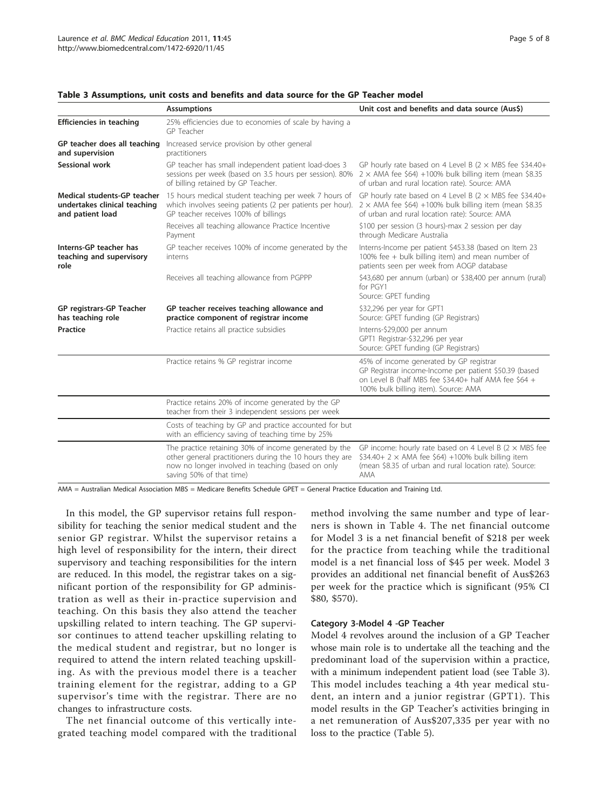|                                                                                 | <b>Assumptions</b>                                                                                                                                                                                 | Unit cost and benefits and data source (Aus\$)                                                                                                                                                    |  |  |  |
|---------------------------------------------------------------------------------|----------------------------------------------------------------------------------------------------------------------------------------------------------------------------------------------------|---------------------------------------------------------------------------------------------------------------------------------------------------------------------------------------------------|--|--|--|
| Efficiencies in teaching                                                        | 25% efficiencies due to economies of scale by having a<br>GP Teacher                                                                                                                               |                                                                                                                                                                                                   |  |  |  |
| GP teacher does all teaching<br>and supervision                                 | Increased service provision by other general<br>practitioners                                                                                                                                      |                                                                                                                                                                                                   |  |  |  |
| Sessional work                                                                  | GP teacher has small independent patient load-does 3<br>sessions per week (based on 3.5 hours per session). 80%<br>of billing retained by GP Teacher.                                              | GP hourly rate based on 4 Level B ( $2 \times$ MBS fee \$34.40+<br>$2 \times$ AMA fee \$64) +100% bulk billing item (mean \$8.35<br>of urban and rural location rate). Source: AMA                |  |  |  |
| Medical students-GP teacher<br>undertakes clinical teaching<br>and patient load | 15 hours medical student teaching per week 7 hours of<br>which involves seeing patients (2 per patients per hour).<br>GP teacher receives 100% of billings                                         | GP hourly rate based on 4 Level B ( $2 \times MBS$ fee \$34.40+<br>$2 \times$ AMA fee \$64) +100% bulk billing item (mean \$8.35<br>of urban and rural location rate): Source: AMA                |  |  |  |
|                                                                                 | Receives all teaching allowance Practice Incentive<br>Payment                                                                                                                                      | \$100 per session (3 hours)-max 2 session per day<br>through Medicare Australia                                                                                                                   |  |  |  |
| Interns-GP teacher has<br>teaching and supervisory<br>role                      | GP teacher receives 100% of income generated by the<br>interns                                                                                                                                     | Interns-Income per patient \$453.38 (based on Item 23<br>100% fee + bulk billing item) and mean number of<br>patients seen per week from AOGP database                                            |  |  |  |
|                                                                                 | Receives all teaching allowance from PGPPP                                                                                                                                                         | \$43,680 per annum (urban) or \$38,400 per annum (rural)<br>for PGY1<br>Source: GPET funding                                                                                                      |  |  |  |
| GP registrars-GP Teacher<br>has teaching role                                   | GP teacher receives teaching allowance and<br>practice component of registrar income                                                                                                               | \$32,296 per year for GPT1<br>Source: GPET funding (GP Registrars)                                                                                                                                |  |  |  |
| Practice                                                                        | Practice retains all practice subsidies                                                                                                                                                            | Interns-\$29,000 per annum<br>GPT1 Registrar-\$32,296 per year<br>Source: GPET funding (GP Registrars)                                                                                            |  |  |  |
|                                                                                 | Practice retains % GP registrar income                                                                                                                                                             | 45% of income generated by GP registrar<br>GP Registrar income-Income per patient \$50.39 (based<br>on Level B (half MBS fee \$34.40+ half AMA fee \$64 +<br>100% bulk billing item). Source: AMA |  |  |  |
|                                                                                 | Practice retains 20% of income generated by the GP<br>teacher from their 3 independent sessions per week                                                                                           |                                                                                                                                                                                                   |  |  |  |
|                                                                                 | Costs of teaching by GP and practice accounted for but<br>with an efficiency saving of teaching time by 25%                                                                                        |                                                                                                                                                                                                   |  |  |  |
|                                                                                 | The practice retaining 30% of income generated by the<br>other general practitioners during the 10 hours they are<br>now no longer involved in teaching (based on only<br>saving 50% of that time) | GP income: hourly rate based on 4 Level B ( $2 \times$ MBS fee<br>$$34.40+ 2 \times$ AMA fee \$64) +100% bulk billing item<br>(mean \$8.35 of urban and rural location rate). Source:<br>AMA      |  |  |  |

<span id="page-4-0"></span>Table 3 Assumptions, unit costs and benefits and data source for the GP Teacher model

AMA = Australian Medical Association MBS = Medicare Benefits Schedule GPET = General Practice Education and Training Ltd.

In this model, the GP supervisor retains full responsibility for teaching the senior medical student and the senior GP registrar. Whilst the supervisor retains a high level of responsibility for the intern, their direct supervisory and teaching responsibilities for the intern are reduced. In this model, the registrar takes on a significant portion of the responsibility for GP administration as well as their in-practice supervision and teaching. On this basis they also attend the teacher upskilling related to intern teaching. The GP supervisor continues to attend teacher upskilling relating to the medical student and registrar, but no longer is required to attend the intern related teaching upskilling. As with the previous model there is a teacher training element for the registrar, adding to a GP supervisor's time with the registrar. There are no changes to infrastructure costs.

The net financial outcome of this vertically integrated teaching model compared with the traditional

method involving the same number and type of learners is shown in Table [4](#page-5-0). The net financial outcome for Model 3 is a net financial benefit of \$218 per week for the practice from teaching while the traditional model is a net financial loss of \$45 per week. Model 3 provides an additional net financial benefit of Aus\$263 per week for the practice which is significant (95% CI \$80, \$570).

## Category 3-Model 4 -GP Teacher

Model 4 revolves around the inclusion of a GP Teacher whose main role is to undertake all the teaching and the predominant load of the supervision within a practice, with a minimum independent patient load (see Table 3). This model includes teaching a 4th year medical student, an intern and a junior registrar (GPT1). This model results in the GP Teacher's activities bringing in a net remuneration of Aus\$207,335 per year with no loss to the practice (Table [5](#page-6-0)).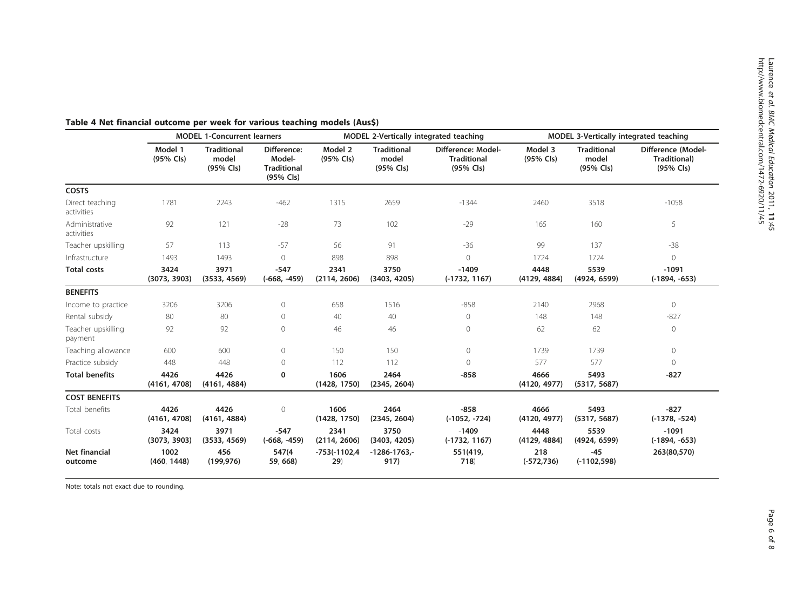|                               | <b>MODEL 1-Concurrent learners</b> |                                          |                                                          | MODEL 2-Vertically integrated teaching |                                          |                                                              | MODEL 3-Vertically integrated teaching |                                          |                                                        |
|-------------------------------|------------------------------------|------------------------------------------|----------------------------------------------------------|----------------------------------------|------------------------------------------|--------------------------------------------------------------|----------------------------------------|------------------------------------------|--------------------------------------------------------|
|                               | Model 1<br>(95% Cls)               | <b>Traditional</b><br>model<br>(95% Cls) | Difference:<br>Model-<br><b>Traditional</b><br>(95% Cls) | Model 2<br>(95% Cls)                   | <b>Traditional</b><br>model<br>(95% Cls) | <b>Difference: Model-</b><br><b>Traditional</b><br>(95% Cls) | Model 3<br>(95% Cls)                   | <b>Traditional</b><br>model<br>(95% Cls) | Difference (Model-<br><b>Traditional)</b><br>(95% Cls) |
| <b>COSTS</b>                  |                                    |                                          |                                                          |                                        |                                          |                                                              |                                        |                                          |                                                        |
| Direct teaching<br>activities | 1781                               | 2243                                     | $-462$                                                   | 1315                                   | 2659                                     | $-1344$                                                      | 2460                                   | 3518                                     | $-1058$                                                |
| Administrative<br>activities  | 92                                 | 121                                      | $-28$                                                    | 73                                     | 102                                      | $-29$                                                        | 165                                    | 160                                      | 5                                                      |
| Teacher upskilling            | 57                                 | 113                                      | $-57$                                                    | 56                                     | 91                                       | $-36$                                                        | 99                                     | 137                                      | $-38$                                                  |
| Infrastructure                | 1493                               | 1493                                     | 0                                                        | 898                                    | 898                                      | $\circ$                                                      | 1724                                   | 1724                                     | $\circ$                                                |
| <b>Total costs</b>            | 3424<br>(3073, 3903)               | 3971<br>(3533, 4569)                     | $-547$<br>$(-668, -459)$                                 | 2341<br>(2114, 2606)                   | 3750<br>(3403, 4205)                     | $-1409$<br>$(-1732, 1167)$                                   | 4448<br>(4129, 4884)                   | 5539<br>(4924, 6599)                     | $-1091$<br>$(-1894, -653)$                             |
| <b>BENEFITS</b>               |                                    |                                          |                                                          |                                        |                                          |                                                              |                                        |                                          |                                                        |
| Income to practice            | 3206                               | 3206                                     | 0                                                        | 658                                    | 1516                                     | $-858$                                                       | 2140                                   | 2968                                     | $\circ$                                                |
| Rental subsidy                | 80                                 | 80                                       | 0                                                        | 40                                     | 40                                       | 0                                                            | 148                                    | 148                                      | $-827$                                                 |
| Teacher upskilling<br>payment | 92                                 | 92                                       | 0                                                        | 46                                     | 46                                       | $\circ$                                                      | 62                                     | 62                                       | $\circ$                                                |
| Teaching allowance            | 600                                | 600                                      | 0                                                        | 150                                    | 150                                      | $\circ$                                                      | 1739                                   | 1739                                     | $\circ$                                                |
| Practice subsidy              | 448                                | 448                                      | $\Omega$                                                 | 112                                    | 112                                      | $\Omega$                                                     | 577                                    | 577                                      | $\circ$                                                |
| <b>Total benefits</b>         | 4426<br>(4161, 4708)               | 4426<br>(4161, 4884)                     | 0                                                        | 1606<br>(1428, 1750)                   | 2464<br>(2345, 2604)                     | $-858$                                                       | 4666<br>(4120, 4977)                   | 5493<br>(5317, 5687)                     | $-827$                                                 |
| <b>COST BENEFITS</b>          |                                    |                                          |                                                          |                                        |                                          |                                                              |                                        |                                          |                                                        |
| Total benefits                | 4426<br>(4161, 4708)               | 4426<br>(4161, 4884)                     | $\Omega$                                                 | 1606<br>(1428, 1750)                   | 2464<br>(2345, 2604)                     | $-858$<br>$(-1052, -724)$                                    | 4666<br>(4120, 4977)                   | 5493<br>(5317, 5687)                     | $-827$<br>$(-1378, -524)$                              |
| Total costs                   | 3424<br>(3073, 3903)               | 3971<br>(3533, 4569)                     | $-547$<br>$(-668, -459)$                                 | 2341<br>(2114, 2606)                   | 3750<br>(3403, 4205)                     | $-1409$<br>$(-1732, 1167)$                                   | 4448<br>(4129, 4884)                   | 5539<br>(4924, 6599)                     | $-1091$<br>$(-1894, -653)$                             |
| Net financial<br>outcome      | 1002<br>(460, 1448)                | 456<br>(199, 976)                        | 547(4<br>59, 668)                                        | $-753(-1102,4)$<br>29)                 | $-1286-1763$<br>917)                     | 551(419,<br>718)                                             | 218<br>$(-572, 736)$                   | $-45$<br>$(-1102,598)$                   | 263(80,570)                                            |

# <span id="page-5-0"></span>Table 4 Net financial outcome per week for various teaching models (Aus\$)

Note: totals not exact due to rounding.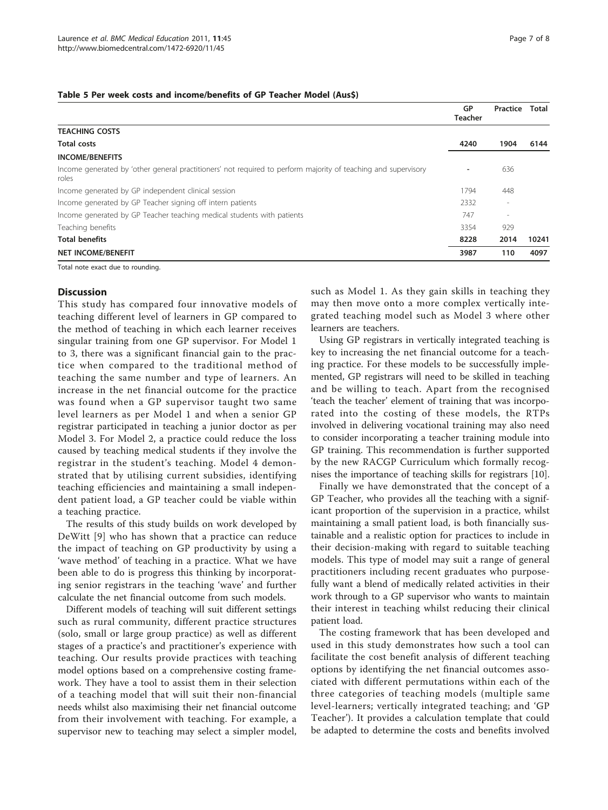## <span id="page-6-0"></span>Table 5 Per week costs and income/benefits of GP Teacher Model (Aus\$)

|                                                                                                                         | GP<br><b>Teacher</b> | Practice                 | Total |
|-------------------------------------------------------------------------------------------------------------------------|----------------------|--------------------------|-------|
| <b>TEACHING COSTS</b>                                                                                                   |                      |                          |       |
| <b>Total costs</b>                                                                                                      | 4240                 | 1904                     | 6144  |
| <b>INCOME/BENEFITS</b>                                                                                                  |                      |                          |       |
| Income generated by 'other general practitioners' not required to perform majority of teaching and supervisory<br>roles | ۰                    | 636                      |       |
| Income generated by GP independent clinical session                                                                     | 1794                 | 448                      |       |
| Income generated by GP Teacher signing off intern patients                                                              | 2332                 | $\overline{\phantom{a}}$ |       |
| Income generated by GP Teacher teaching medical students with patients                                                  | 747                  | $\overline{\phantom{a}}$ |       |
| Teaching benefits                                                                                                       | 3354                 | 929                      |       |
| <b>Total benefits</b>                                                                                                   | 8228                 | 2014                     | 10241 |
| <b>NET INCOME/BENEFIT</b>                                                                                               | 3987                 | 110                      | 4097  |

Total note exact due to rounding.

# **Discussion**

This study has compared four innovative models of teaching different level of learners in GP compared to the method of teaching in which each learner receives singular training from one GP supervisor. For Model 1 to 3, there was a significant financial gain to the practice when compared to the traditional method of teaching the same number and type of learners. An increase in the net financial outcome for the practice was found when a GP supervisor taught two same level learners as per Model 1 and when a senior GP registrar participated in teaching a junior doctor as per Model 3. For Model 2, a practice could reduce the loss caused by teaching medical students if they involve the registrar in the student's teaching. Model 4 demonstrated that by utilising current subsidies, identifying teaching efficiencies and maintaining a small independent patient load, a GP teacher could be viable within a teaching practice.

The results of this study builds on work developed by DeWitt [\[9](#page-7-0)] who has shown that a practice can reduce the impact of teaching on GP productivity by using a 'wave method' of teaching in a practice. What we have been able to do is progress this thinking by incorporating senior registrars in the teaching 'wave' and further calculate the net financial outcome from such models.

Different models of teaching will suit different settings such as rural community, different practice structures (solo, small or large group practice) as well as different stages of a practice's and practitioner's experience with teaching. Our results provide practices with teaching model options based on a comprehensive costing framework. They have a tool to assist them in their selection of a teaching model that will suit their non-financial needs whilst also maximising their net financial outcome from their involvement with teaching. For example, a supervisor new to teaching may select a simpler model, such as Model 1. As they gain skills in teaching they may then move onto a more complex vertically integrated teaching model such as Model 3 where other learners are teachers.

Using GP registrars in vertically integrated teaching is key to increasing the net financial outcome for a teaching practice. For these models to be successfully implemented, GP registrars will need to be skilled in teaching and be willing to teach. Apart from the recognised 'teach the teacher' element of training that was incorporated into the costing of these models, the RTPs involved in delivering vocational training may also need to consider incorporating a teacher training module into GP training. This recommendation is further supported by the new RACGP Curriculum which formally recognises the importance of teaching skills for registrars [[10](#page-7-0)].

Finally we have demonstrated that the concept of a GP Teacher, who provides all the teaching with a significant proportion of the supervision in a practice, whilst maintaining a small patient load, is both financially sustainable and a realistic option for practices to include in their decision-making with regard to suitable teaching models. This type of model may suit a range of general practitioners including recent graduates who purposefully want a blend of medically related activities in their work through to a GP supervisor who wants to maintain their interest in teaching whilst reducing their clinical patient load.

The costing framework that has been developed and used in this study demonstrates how such a tool can facilitate the cost benefit analysis of different teaching options by identifying the net financial outcomes associated with different permutations within each of the three categories of teaching models (multiple same level-learners; vertically integrated teaching; and 'GP Teacher'). It provides a calculation template that could be adapted to determine the costs and benefits involved